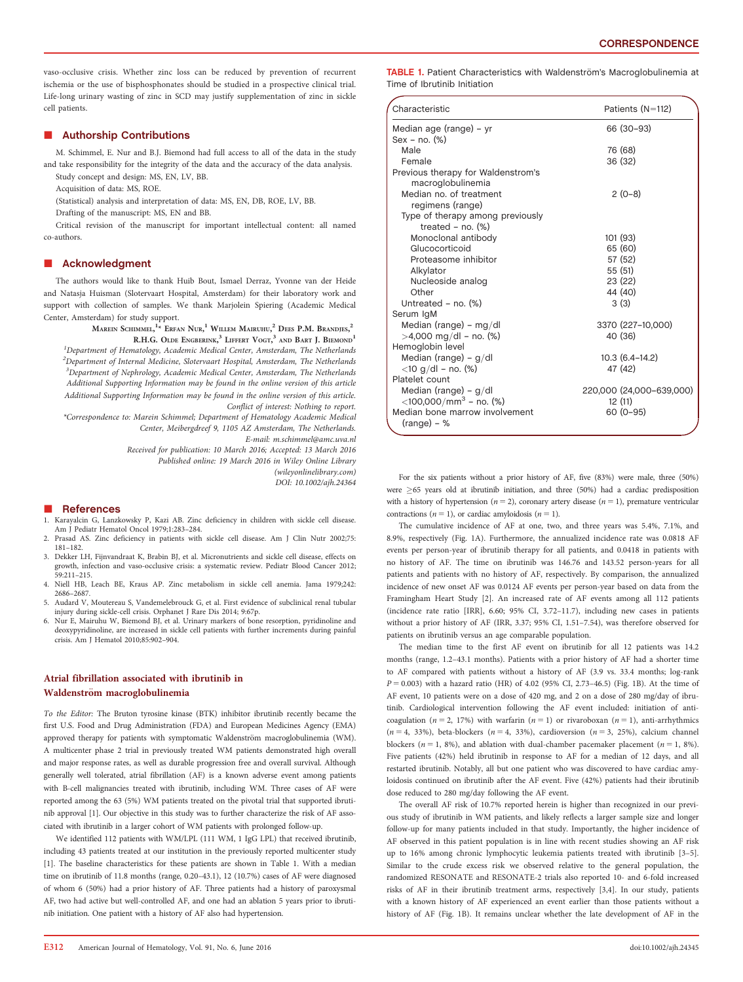vaso-occlusive crisis. Whether zinc loss can be reduced by prevention of recurrent ischemia or the use of bisphosphonates should be studied in a prospective clinical trial. Life-long urinary wasting of zinc in SCD may justify supplementation of zinc in sickle cell patients.

### **E** Authorship Contributions

M. Schimmel, E. Nur and B.J. Biemond had full access to all of the data in the study and take responsibility for the integrity of the data and the accuracy of the data analysis. Study concept and design: MS, EN, LV, BB.

Acquisition of data: MS, ROE.

(Statistical) analysis and interpretation of data: MS, EN, DB, ROE, LV, BB.

Drafting of the manuscript: MS, EN and BB.

Critical revision of the manuscript for important intellectual content: all named co-authors.

### **E** Acknowledgment

The authors would like to thank Huib Bout, Ismael Derraz, Yvonne van der Heide and Natasja Huisman (Slotervaart Hospital, Amsterdam) for their laboratory work and support with collection of samples. We thank Marjolein Spiering (Academic Medical Center, Amsterdam) for study support.

> $\mathrm{M}$ arein Schimmel, $^{1*}$  Erfan Nur, $^{1}$  Willem Mairuhu, $^{2}$  Dees P.M. Brandjes, $^{2}$ R.H.G. OLDE ENGBERINK,<sup>3</sup> LIFFERT VOGT,<sup>3</sup> AND BART J. BIEMOND<sup>1</sup>

<sup>1</sup>Department of Hematology, Academic Medical Center, Amsterdam, The Netherlands  $^2$ Department of Internal Medicine, Slotervaart Hospital, Amsterdam, The Netherlands  ${}^{3}$ Department of Nephrology, Academic Medical Center, Amsterdam, The Netherlands Additional Supporting Information may be found in the online version of this article Additional Supporting Information may be found in the online version of this article. Conflict of interest: Nothing to report.

\*Correspondence to: Marein Schimmel; Department of Hematology Academic Medical Center, Meibergdreef 9, 1105 AZ Amsterdam, The Netherlands. E-mail: m.schimmel@amc.uva.nl

Received for publication: 10 March 2016; Accepted: 13 March 2016

Published online: 19 March 2016 in Wiley Online Library

(wileyonlinelibrary.com) DOI: 10.1002/ajh.24364

#### -References

1. Karayalcin G, Lanzkowsky P, Kazi AB. Zinc deficiency in children with sickle cell disease. Am J Pediatr Hematol Oncol 1979;1:283-284.

- 2. Prasad AS. Zinc deficiency in patients with sickle cell disease. Am J Clin Nutr 2002;75: 181–182.
- 3. Dekker LH, Fijnvandraat K, Brabin BJ, et al. Micronutrients and sickle cell disease, effects on growth, infection and vaso-occlusive crisis: a systematic review. Pediatr Blood Cancer 2012; 59:211–215.
- 4. Niell HB, Leach BE, Kraus AP. Zinc metabolism in sickle cell anemia. Jama 1979;242: 2686–2687.
- 5. Audard V, Moutereau S, Vandemelebrouck G, et al. First evidence of subclinical renal tubular injury during sickle-cell crisis. Orphanet J Rare Dis 2014; 9:67p.
- 6. Nur E, Mairuhu W, Biemond BJ, et al. Urinary markers of bone resorption, pyridinoline and deoxypyridinoline, are increased in sickle cell patients with further increments during painful crisis. Am J Hematol 2010;85:902–904.

## Atrial fibrillation associated with ibrutinib in Waldenström macroglobulinemia

To the Editor: The Bruton tyrosine kinase (BTK) inhibitor ibrutinib recently became the first U.S. Food and Drug Administration (FDA) and European Medicines Agency (EMA) approved therapy for patients with symptomatic Waldenström macroglobulinemia (WM). A multicenter phase 2 trial in previously treated WM patients demonstrated high overall and major response rates, as well as durable progression free and overall survival. Although generally well tolerated, atrial fibrillation (AF) is a known adverse event among patients with B-cell malignancies treated with ibrutinib, including WM. Three cases of AF were reported among the 63 (5%) WM patients treated on the pivotal trial that supported ibrutinib approval [1]. Our objective in this study was to further characterize the risk of AF associated with ibrutinib in a larger cohort of WM patients with prolonged follow-up.

We identified 112 patients with WM/LPL (111 WM, 1 IgG LPL) that received ibrutinib, including 43 patients treated at our institution in the previously reported multicenter study [1]. The baseline characteristics for these patients are shown in Table 1. With a median time on ibrutinib of 11.8 months (range, 0.20–43.1), 12 (10.7%) cases of AF were diagnosed of whom 6 (50%) had a prior history of AF. Three patients had a history of paroxysmal AF, two had active but well-controlled AF, and one had an ablation 5 years prior to ibrutinib initiation. One patient with a history of AF also had hypertension.

TABLE 1. Patient Characteristics with Waldenström's Macroglobulinemia at Time of Ibrutinib Initiation

| Characteristic                                             | Patients (N=112)         |
|------------------------------------------------------------|--------------------------|
| Median age (range) - yr                                    | 66 (30-93)               |
| Sex - no. (%)                                              |                          |
| Male                                                       | 76 (68)                  |
| Female                                                     | 36 (32)                  |
| Previous therapy for Waldenstrom's<br>macroglobulinemia    |                          |
| Median no. of treatment                                    | $2(0-8)$                 |
| regimens (range)                                           |                          |
| Type of therapy among previously<br>treated $-$ no. $(\%)$ |                          |
| Monoclonal antibody                                        | 101 (93)                 |
| Glucocorticoid                                             | 65 (60)                  |
| Proteasome inhibitor                                       | 57 (52)                  |
| Alkylator                                                  | 55 (51)                  |
| Nucleoside analog                                          | 23 (22)                  |
| Other                                                      | 44 (40)                  |
| Untreated - no. (%)                                        | 3(3)                     |
| Serum IgM                                                  |                          |
| Median (range) – mg/dl                                     | 3370 (227-10,000)        |
| $>4,000$ mg/dl – no. (%)                                   | 40 (36)                  |
| Hemoglobin level                                           |                          |
| Median (range) – $g/dl$                                    | $10.3(6.4-14.2)$         |
| $<$ 10 g/dl – no. (%)                                      | 47 (42)                  |
| Platelet count                                             |                          |
| Median (range) - $g/dl$                                    | 220,000 (24,000-639,000) |
| $<$ 100,000/mm <sup>3</sup> – no. (%)                      | 12 (11)                  |
| Median bone marrow involvement<br>$(range) - %$            | $60(0-95)$               |

For the six patients without a prior history of AF, five (83%) were male, three (50%) were  $\geq$  65 years old at ibrutinib initiation, and three (50%) had a cardiac predisposition with a history of hypertension ( $n = 2$ ), coronary artery disease ( $n = 1$ ), premature ventricular contractions ( $n = 1$ ), or cardiac amyloidosis ( $n = 1$ ).

The cumulative incidence of AF at one, two, and three years was 5.4%, 7.1%, and 8.9%, respectively (Fig. 1A). Furthermore, the annualized incidence rate was 0.0818 AF events per person-year of ibrutinib therapy for all patients, and 0.0418 in patients with no history of AF. The time on ibrutinib was 146.76 and 143.52 person-years for all patients and patients with no history of AF, respectively. By comparison, the annualized incidence of new onset AF was 0.0124 AF events per person-year based on data from the Framingham Heart Study [2]. An increased rate of AF events among all 112 patients (incidence rate ratio [IRR], 6.60; 95% CI, 3.72–11.7), including new cases in patients without a prior history of AF (IRR, 3.37; 95% CI, 1.51–7.54), was therefore observed for patients on ibrutinib versus an age comparable population.

The median time to the first AF event on ibrutinib for all 12 patients was 14.2 months (range, 1.2–43.1 months). Patients with a prior history of AF had a shorter time to AF compared with patients without a history of AF (3.9 vs. 33.4 months; log-rank  $P = 0.003$ ) with a hazard ratio (HR) of 4.02 (95% CI, 2.73-46.5) (Fig. 1B). At the time of AF event, 10 patients were on a dose of 420 mg, and 2 on a dose of 280 mg/day of ibrutinib. Cardiological intervention following the AF event included: initiation of anticoagulation ( $n = 2$ , 17%) with warfarin ( $n = 1$ ) or rivaroboxan ( $n = 1$ ), anti-arrhythmics  $(n = 4, 33%)$ , beta-blockers  $(n = 4, 33%)$ , cardioversion  $(n = 3, 25%)$ , calcium channel blockers ( $n = 1$ , 8%), and ablation with dual-chamber pacemaker placement ( $n = 1$ , 8%). Five patients (42%) held ibrutinib in response to AF for a median of 12 days, and all restarted ibrutinib. Notably, all but one patient who was discovered to have cardiac amyloidosis continued on ibrutinib after the AF event. Five (42%) patients had their ibrutinib dose reduced to 280 mg/day following the AF event.

The overall AF risk of 10.7% reported herein is higher than recognized in our previous study of ibrutinib in WM patients, and likely reflects a larger sample size and longer follow-up for many patients included in that study. Importantly, the higher incidence of AF observed in this patient population is in line with recent studies showing an AF risk up to 16% among chronic lymphocytic leukemia patients treated with ibrutinib [3–5]. Similar to the crude excess risk we observed relative to the general population, the randomized RESONATE and RESONATE-2 trials also reported 10- and 6-fold increased risks of AF in their ibrutinib treatment arms, respectively [3,4]. In our study, patients with a known history of AF experienced an event earlier than those patients without a history of AF (Fig. 1B). It remains unclear whether the late development of AF in the